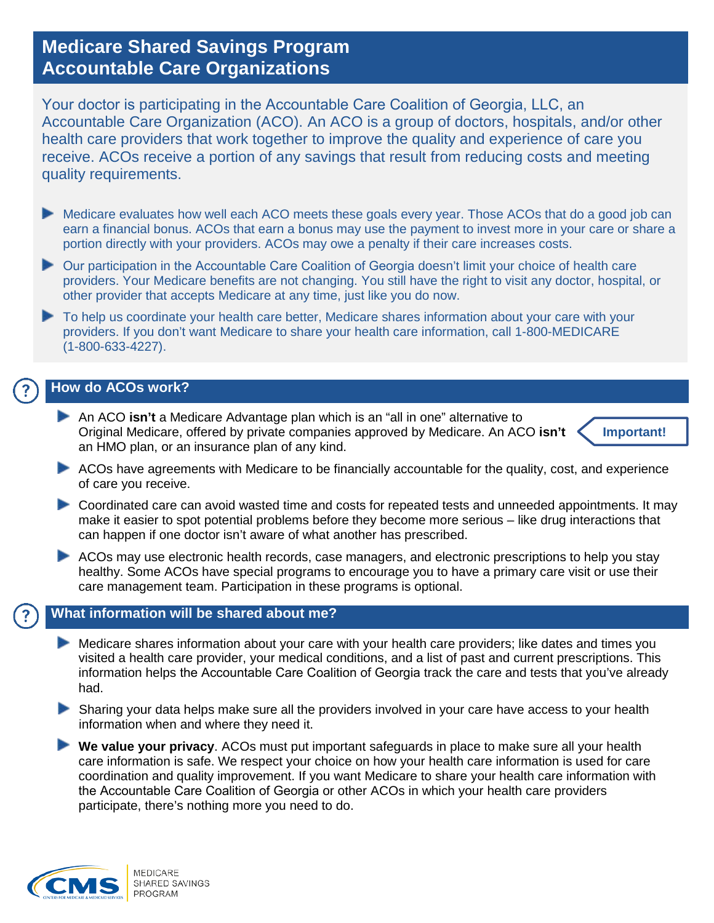# **Medicare Shared Savings Program Accountable Care Organizations**

Your doctor is participating in the Accountable Care Coalition of Georgia, LLC, an Accountable Care Organization (ACO). An ACO is a group of doctors, hospitals, and/or other health care providers that work together to improve the quality and experience of care you receive. ACOs receive a portion of any savings that result from reducing costs and meeting quality requirements.

- Medicare evaluates how well each ACO meets these goals every year. Those ACOs that do a good job can earn a financial bonus. ACOs that earn a bonus may use the payment to invest more in your care or share a portion directly with your providers. ACOs may owe a penalty if their care increases costs.
- Our participation in the Accountable Care Coalition of Georgia doesn't limit your choice of health care providers. Your Medicare benefits are not changing. You still have the right to visit any doctor, hospital, or other provider that accepts Medicare at any time, just like you do now.
- To help us coordinate your health care better, Medicare shares information about your care with your providers. If you don't want Medicare to share your health care information, call 1-800-MEDICARE (1-800-633-4227).

## **How do ACOs work?**

An ACO **isn't** a Medicare Advantage plan which is an "all in one" alternative to Original Medicare, offered by private companies approved by Medicare. An ACO **isn't** an HMO plan, or an insurance plan of any kind.



- ACOs have agreements with Medicare to be financially accountable for the quality, cost, and experience of care you receive.
- Coordinated care can avoid wasted time and costs for repeated tests and unneeded appointments. It may make it easier to spot potential problems before they become more serious – like drug interactions that can happen if one doctor isn't aware of what another has prescribed.
- ACOs may use electronic health records, case managers, and electronic prescriptions to help you stay healthy. Some ACOs have special programs to encourage you to have a primary care visit or use their care management team. Participation in these programs is optional.

### **What information will be shared about me?**

- Medicare shares information about your care with your health care providers; like dates and times you visited a health care provider, your medical conditions, and a list of past and current prescriptions. This information helps the Accountable Care Coalition of Georgia track the care and tests that you've already had.
- Sharing your data helps make sure all the providers involved in your care have access to your health information when and where they need it.
- **We value your privacy**. ACOs must put important safeguards in place to make sure all your health care information is safe. We respect your choice on how your health care information is used for care coordination and quality improvement. If you want Medicare to share your health care information with the Accountable Care Coalition of Georgia or other ACOs in which your health care providers participate, there's nothing more you need to do.